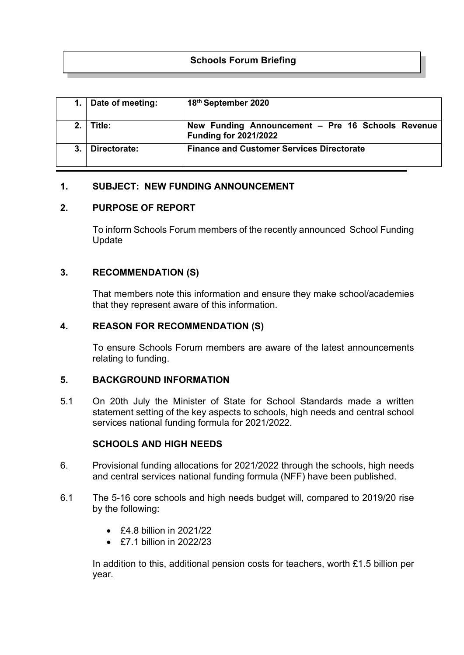# **Schools Forum Briefing**

|                | Date of meeting: | 18th September 2020                                                               |
|----------------|------------------|-----------------------------------------------------------------------------------|
| 2 <sup>1</sup> | Title:           | New Funding Announcement - Pre 16 Schools Revenue<br><b>Funding for 2021/2022</b> |
|                | Directorate:     | <b>Finance and Customer Services Directorate</b>                                  |

## **1. SUBJECT: NEW FUNDING ANNOUNCEMENT**

## **2. PURPOSE OF REPORT**

To inform Schools Forum members of the recently announced School Funding Update

## **3. RECOMMENDATION (S)**

That members note this information and ensure they make school/academies that they represent aware of this information.

## **4. REASON FOR RECOMMENDATION (S)**

To ensure Schools Forum members are aware of the latest announcements relating to funding.

### **5. BACKGROUND INFORMATION**

5.1 On 20th July the Minister of State for School Standards made a written statement setting of the key aspects to schools, high needs and central school services national funding formula for 2021/2022.

### **SCHOOLS AND HIGH NEEDS**

- 6. Provisional funding allocations for 2021/2022 through the schools, high needs and central services national funding formula (NFF) have been published.
- 6.1 The 5-16 core schools and high needs budget will, compared to 2019/20 rise by the following:
	- £4.8 billion in 2021/22
	- $\cdot$  £7.1 billion in 2022/23

In addition to this, additional pension costs for teachers, worth £1.5 billion per year.